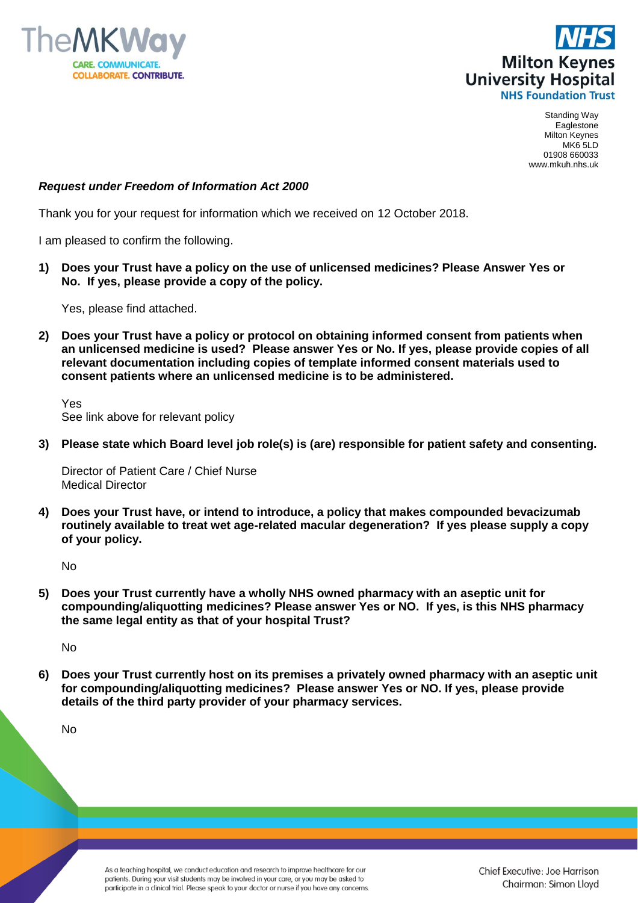



Standing Way Eaglestone Milton Keynes MK6 5LD 01908 660033 www.mkuh.nhs.uk

## *Request under Freedom of Information Act 2000*

Thank you for your request for information which we received on 12 October 2018.

I am pleased to confirm the following.

**1) Does your Trust have a policy on the use of unlicensed medicines? Please Answer Yes or No. If yes, please provide a copy of the policy.**

Yes, please find attached.

**2) Does your Trust have a policy or protocol on obtaining informed consent from patients when an unlicensed medicine is used? Please answer Yes or No. If yes, please provide copies of all relevant documentation including copies of template informed consent materials used to consent patients where an unlicensed medicine is to be administered.**

Yes See link above for relevant policy

**3) Please state which Board level job role(s) is (are) responsible for patient safety and consenting.**

Director of Patient Care / Chief Nurse Medical Director

**4) Does your Trust have, or intend to introduce, a policy that makes compounded bevacizumab routinely available to treat wet age-related macular degeneration? If yes please supply a copy of your policy.**

No

**5) Does your Trust currently have a wholly NHS owned pharmacy with an aseptic unit for compounding/aliquotting medicines? Please answer Yes or NO. If yes, is this NHS pharmacy the same legal entity as that of your hospital Trust?**

No

**6) Does your Trust currently host on its premises a privately owned pharmacy with an aseptic unit for compounding/aliquotting medicines? Please answer Yes or NO. If yes, please provide details of the third party provider of your pharmacy services.**

No

As a teaching hospital, we conduct education and research to improve healthcare for our patients. During your visit students may be involved in your care, or you may be asked to participate in a clinical trial. Please speak to your doctor or nurse if you have any concerns.